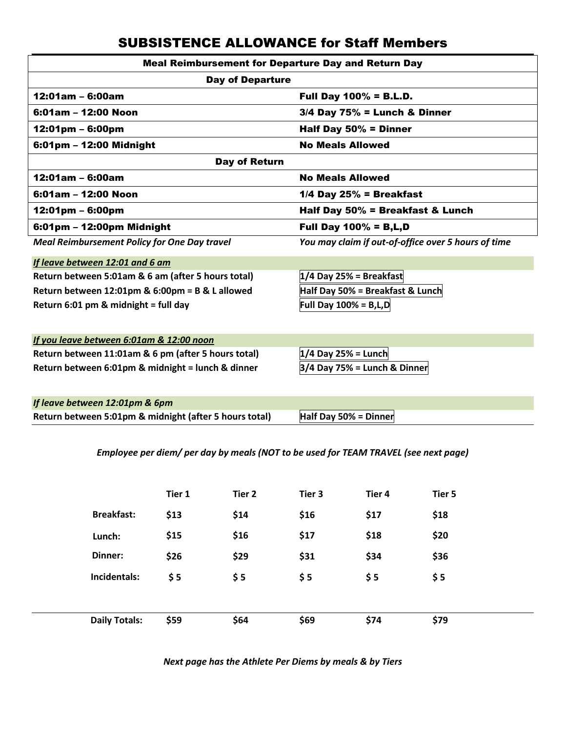## SUBSISTENCE ALLOWANCE for Staff Members

| <b>Meal Reimbursement for Departure Day and Return Day</b> |                                                     |  |  |  |  |  |  |  |
|------------------------------------------------------------|-----------------------------------------------------|--|--|--|--|--|--|--|
| <b>Day of Departure</b>                                    |                                                     |  |  |  |  |  |  |  |
| $12:01am - 6:00am$                                         | <b>Full Day 100% = B.L.D.</b>                       |  |  |  |  |  |  |  |
| $6:01$ am – 12:00 Noon                                     | $3/4$ Day $75%$ = Lunch & Dinner                    |  |  |  |  |  |  |  |
| $12:01 \text{pm} - 6:00 \text{pm}$                         | Half Day $50\%$ = Dinner                            |  |  |  |  |  |  |  |
| 6:01pm - 12:00 Midnight                                    | <b>No Meals Allowed</b>                             |  |  |  |  |  |  |  |
| Day of Return                                              |                                                     |  |  |  |  |  |  |  |
| $12:01am - 6:00am$                                         | <b>No Meals Allowed</b>                             |  |  |  |  |  |  |  |
| 6:01am - 12:00 Noon                                        | $1/4$ Day 25% = Breakfast                           |  |  |  |  |  |  |  |
| $12:01 \text{pm} - 6:00 \text{pm}$                         | Half Day 50% = Breakfast & Lunch                    |  |  |  |  |  |  |  |
| 6:01pm - 12:00pm Midnight                                  | <b>Full Day 100% = B, L, D</b>                      |  |  |  |  |  |  |  |
| <b>Meal Reimbursement Policy for One Day travel</b>        | You may claim if out-of-office over 5 hours of time |  |  |  |  |  |  |  |
| If leave between 12:01 and 6 am                            |                                                     |  |  |  |  |  |  |  |
| Return between 5:01am & 6 am (after 5 hours total)         | $1/4$ Day 25% = Breakfast                           |  |  |  |  |  |  |  |
| Return between 12:01pm & 6:00pm = B & L allowed            | Half Day 50% = Breakfast & Lunch                    |  |  |  |  |  |  |  |
| Return 6:01 pm & midnight = full day                       | Full Day $100\% = B,L,D$                            |  |  |  |  |  |  |  |
|                                                            |                                                     |  |  |  |  |  |  |  |
| If you leave between 6:01am & 12:00 noon                   |                                                     |  |  |  |  |  |  |  |
| Return between 11:01am & 6 pm (after 5 hours total)        | $1/4$ Day 25% = Lunch                               |  |  |  |  |  |  |  |
| Return between 6:01pm & midnight = lunch & dinner          | $3/4$ Day 75% = Lunch & Dinner                      |  |  |  |  |  |  |  |
|                                                            |                                                     |  |  |  |  |  |  |  |
| If leave between 12:01pm & 6pm                             |                                                     |  |  |  |  |  |  |  |
| Return between 5:01pm & midnight (after 5 hours total)     | Half Day 50% = Dinner                               |  |  |  |  |  |  |  |

*Employee per diem/ per day by meals (NOT to be used for TEAM TRAVEL (see next page)* 

|                      | Tier 1 | Tier 2 | Tier 3 | Tier 4 | Tier 5 |
|----------------------|--------|--------|--------|--------|--------|
| <b>Breakfast:</b>    | \$13   | \$14   | \$16   | \$17   | \$18   |
| Lunch:               | \$15   | \$16   | \$17   | \$18   | \$20   |
| Dinner:              | \$26   | \$29   | \$31   | \$34   | \$36   |
| Incidentals:         | \$5    | \$5    | \$5    | \$5    | \$5    |
|                      |        |        |        |        |        |
| <b>Daily Totals:</b> | \$59   | \$64   | \$69   | \$74   | \$79   |

*Next page has the Athlete Per Diems by meals & by Tiers*